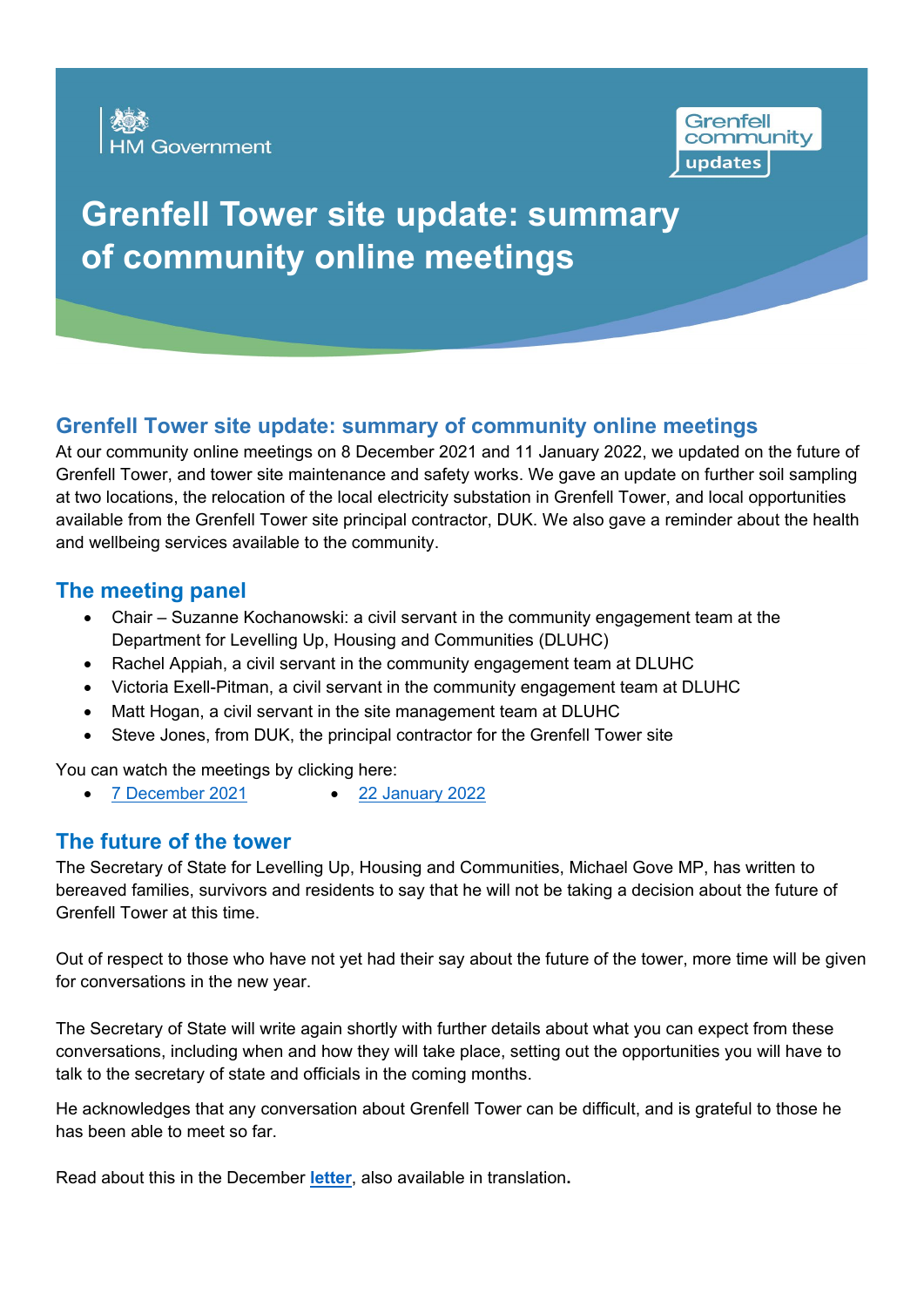



# **Grenfell Tower site update: summary of community online meetings**

## **Grenfell Tower site update: summary of community online meetings**

At our community online meetings on 8 December 2021 and 11 January 2022, we updated on the future of Grenfell Tower, and tower site maintenance and safety works. We gave an update on further soil sampling at two locations, the relocation of the local electricity substation in Grenfell Tower, and local opportunities available from the Grenfell Tower site principal contractor, DUK. We also gave a reminder about the health and wellbeing services available to the community.

#### **The meeting panel**

- Chair Suzanne Kochanowski: a civil servant in the community engagement team at the Department for Levelling Up, Housing and Communities (DLUHC)
- Rachel Appiah, a civil servant in the community engagement team at DLUHC
- Victoria Exell-Pitman, a civil servant in the community engagement team at DLUHC
- Matt Hogan, a civil servant in the site management team at DLUHC
- Steve Jones, from DUK, the principal contractor for the Grenfell Tower site

You can watch the meetings by clicking here:

• [7 December 2021](https://www.youtube.com/watch?v=4AFOIpqUI28) • [22 January 2022](https://www.youtube.com/watch?v=ds3eSr5DaLY)

#### **The future of the tower**

The Secretary of State for Levelling Up, Housing and Communities, Michael Gove MP, has written to bereaved families, survivors and residents to say that he will not be taking a decision about the future of Grenfell Tower at this time.

Out of respect to those who have not yet had their say about the future of the tower, more time will be given for conversations in the new year.

The Secretary of State will write again shortly with further details about what you can expect from these conversations, including when and how they will take place, setting out the opportunities you will have to talk to the secretary of state and officials in the coming months.

He acknowledges that any conversation about Grenfell Tower can be difficult, and is grateful to those he has been able to meet so far.

Read about this in the December **[letter](https://www.gov.uk/government/publications/the-future-of-grenfell-tower-a-letter-from-the-secretary-of-state-for-levelling-up-housing-and-communities)**, also available in translation**.**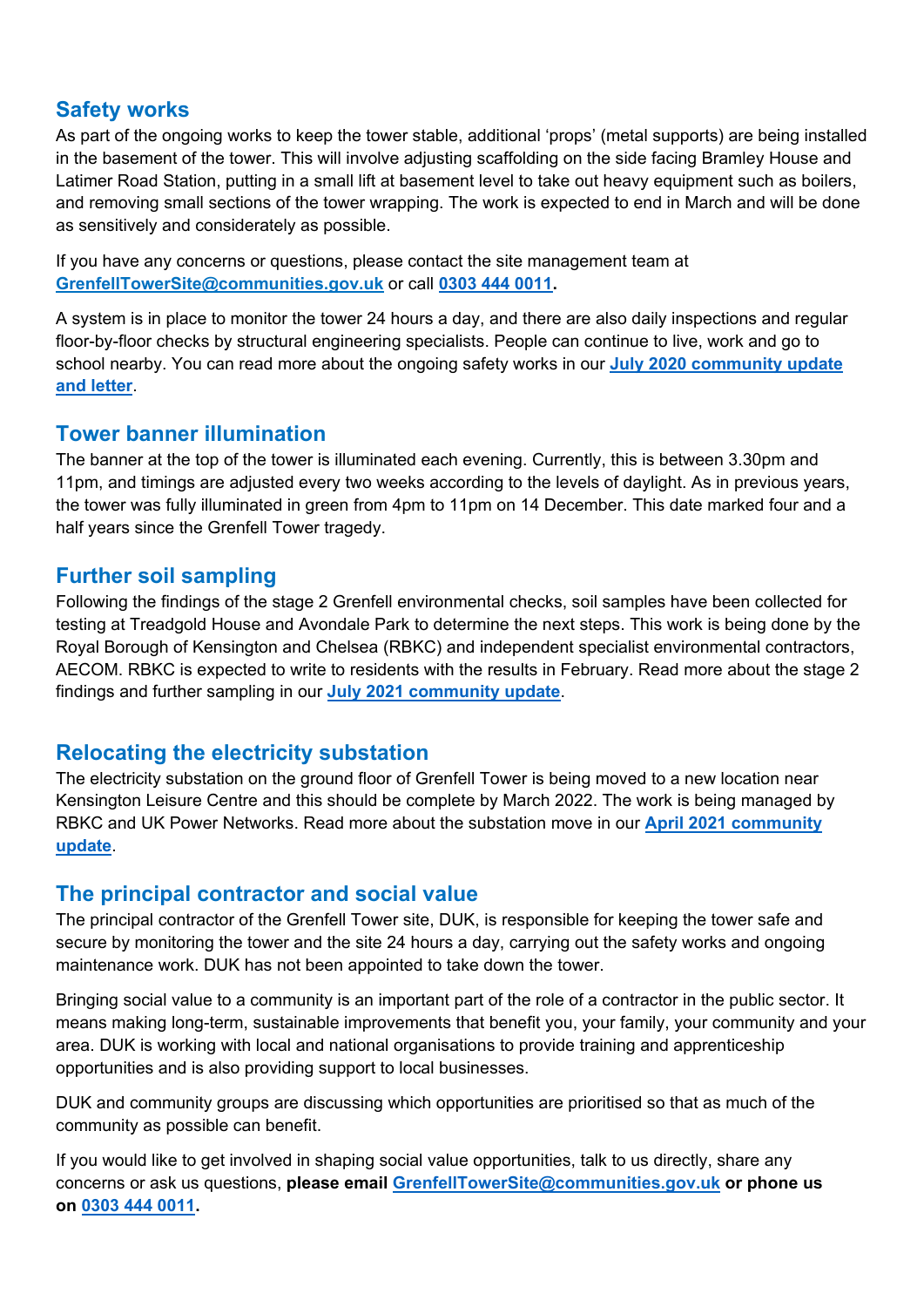#### **Safety works**

As part of the ongoing works to keep the tower stable, additional 'props' (metal supports) are being installed in the basement of the tower. This will involve adjusting scaffolding on the side facing Bramley House and Latimer Road Station, putting in a small lift at basement level to take out heavy equipment such as boilers, and removing small sections of the tower wrapping. The work is expected to end in March and will be done as sensitively and considerately as possible.

If you have any concerns or questions, please contact the site management team at **[GrenfellTowerSite@communities.gov.uk](mailto:GrenfellTowerSite@communities.gov.uk)** or call **[0303 444 0011.](tel:0303%20444%200011)**

A system is in place to monitor the tower 24 hours a day, and there are also daily inspections and regular floor-by-floor checks by structural engineering specialists. People can continue to live, work and go to school nearby. You can read more about the ongoing safety works in our **[July 2020 community update](https://www.gov.uk/government/publications/letter-and-update-on-upcoming-safety-works-in-response-to-the-grenfell-tower-fire-3-july-2020)  [and letter](https://www.gov.uk/government/publications/letter-and-update-on-upcoming-safety-works-in-response-to-the-grenfell-tower-fire-3-july-2020)**.

#### **Tower banner illumination**

The banner at the top of the tower is illuminated each evening. Currently, this is between 3.30pm and 11pm, and timings are adjusted every two weeks according to the levels of daylight. As in previous years, the tower was fully illuminated in green from 4pm to 11pm on 14 December. This date marked four and a half years since the Grenfell Tower tragedy.

#### **Further soil sampling**

Following the findings of the stage 2 Grenfell environmental checks, soil samples have been collected for testing at Treadgold House and Avondale Park to determine the next steps. This work is being done by the Royal Borough of Kensington and Chelsea (RBKC) and independent specialist environmental contractors, AECOM. RBKC is expected to write to residents with the results in February. Read more about the stage 2 findings and further sampling in our **[July 2021 community update](https://www.gov.uk/government/publications/grenfell-environmental-checks-stage-2-findings-summary-and-qa-from-8-july-online-meeting)**.

#### **Relocating the electricity substation**

The electricity substation on the ground floor of Grenfell Tower is being moved to a new location near Kensington Leisure Centre and this should be complete by March 2022. The work is being managed by RBKC and UK Power Networks. Read more about the substation move in our **[April 2021 community](https://www.gov.uk/government/publications/relocation-of-the-electricity-substation-in-grenfell-tower-an-update-for-the-community)  [update](https://www.gov.uk/government/publications/relocation-of-the-electricity-substation-in-grenfell-tower-an-update-for-the-community)**.

#### **The principal contractor and social value**

The principal contractor of the Grenfell Tower site, DUK, is responsible for keeping the tower safe and secure by monitoring the tower and the site 24 hours a day, carrying out the safety works and ongoing maintenance work. DUK has not been appointed to take down the tower.

Bringing social value to a community is an important part of the role of a contractor in the public sector. It means making long-term, sustainable improvements that benefit you, your family, your community and your area. DUK is working with local and national organisations to provide training and apprenticeship opportunities and is also providing support to local businesses.

DUK and community groups are discussing which opportunities are prioritised so that as much of the community as possible can benefit.

If you would like to get involved in shaping social value opportunities, talk to us directly, share any concerns or ask us questions, **please email [GrenfellTowerSite@communities.gov.uk](mailto:GrenfellTowerSite@communities.gov.uk) or phone us on [0303 444 0011.](tel:0303%20444%200011)**